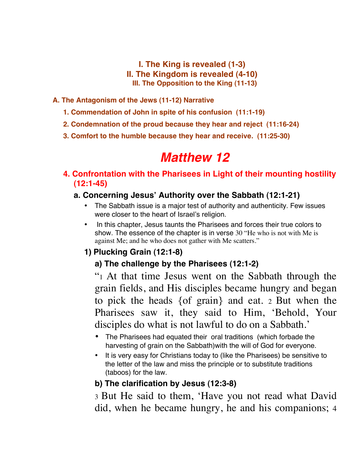**I. The King is revealed (1-3) II. The Kingdom is revealed (4-10) III. The Opposition to the King (11-13)**

#### **A. The Antagonism of the Jews (11-12) Narrative**

- **1. Commendation of John in spite of his confusion (11:1-19)**
- **2. Condemnation of the proud because they hear and reject (11:16-24)**
- **3. Comfort to the humble because they hear and receive. (11:25-30)**

# *Matthew 12*

**4. Confrontation with the Pharisees in Light of their mounting hostility (12:1-45)**

#### **a. Concerning Jesus' Authority over the Sabbath (12:1-21)**

- The Sabbath issue is a major test of authority and authenticity. Few issues were closer to the heart of Israel's religion.
- In this chapter, Jesus taunts the Pharisees and forces their true colors to show. The essence of the chapter is in verse 30 "He who is not with Me is against Me; and he who does not gather with Me scatters."

#### **1) Plucking Grain (12:1-8)**

#### **a) The challenge by the Pharisees (12:1-2)**

"1 At that time Jesus went on the Sabbath through the grain fields, and His disciples became hungry and began to pick the heads {of grain} and eat. 2 But when the Pharisees saw it, they said to Him, 'Behold, Your disciples do what is not lawful to do on a Sabbath.'

- The Pharisees had equated their oral traditions (which forbade the harvesting of grain on the Sabbath)with the will of God for everyone.
- It is very easy for Christians today to (like the Pharisees) be sensitive to the letter of the law and miss the principle or to substitute traditions (taboos) for the law.

#### **b) The clarification by Jesus (12:3-8)**

3 But He said to them, 'Have you not read what David did, when he became hungry, he and his companions; 4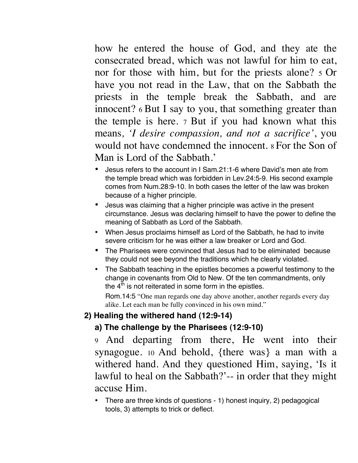how he entered the house of God, and they ate the consecrated bread, which was not lawful for him to eat, nor for those with him, but for the priests alone? 5 Or have you not read in the Law, that on the Sabbath the priests in the temple break the Sabbath, and are innocent? 6 But I say to you, that something greater than the temple is here. 7 But if you had known what this means*, 'I desire compassion, and not a sacrifice'*, you would not have condemned the innocent. 8 For the Son of Man is Lord of the Sabbath.'

- Jesus refers to the account in I Sam.21:1-6 where David's men ate from the temple bread which was forbidden in Lev.24:5-9. His second example comes from Num.28:9-10. In both cases the letter of the law was broken because of a higher principle.
- Jesus was claiming that a higher principle was active in the present circumstance. Jesus was declaring himself to have the power to define the meaning of Sabbath as Lord of the Sabbath.
- When Jesus proclaims himself as Lord of the Sabbath, he had to invite severe criticism for he was either a law breaker or Lord and God.
- The Pharisees were convinced that Jesus had to be eliminated because they could not see beyond the traditions which he clearly violated.
- The Sabbath teaching in the epistles becomes a powerful testimony to the change in covenants from Old to New. Of the ten commandments, only the  $4<sup>th</sup>$  is not reiterated in some form in the epistles.

Rom.14:5 "One man regards one day above another, another regards every day alike. Let each man be fully convinced in his own mind."

## **2) Healing the withered hand (12:9-14)**

## **a) The challenge by the Pharisees (12:9-10)**

9 And departing from there, He went into their synagogue. 10 And behold, {there was} a man with a withered hand. And they questioned Him, saying, 'Is it lawful to heal on the Sabbath?'-- in order that they might accuse Him.

• There are three kinds of questions - 1) honest inquiry, 2) pedagogical tools, 3) attempts to trick or deflect.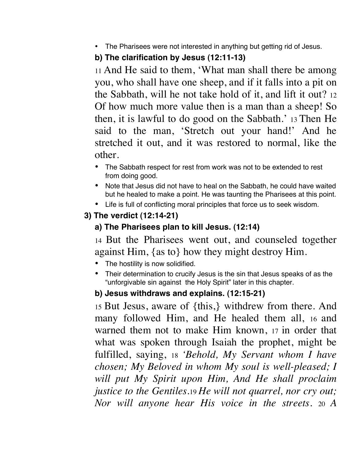• The Pharisees were not interested in anything but getting rid of Jesus.

#### **b) The clarification by Jesus (12:11-13)**

11 And He said to them, 'What man shall there be among you, who shall have one sheep, and if it falls into a pit on the Sabbath, will he not take hold of it, and lift it out? 12 Of how much more value then is a man than a sheep! So then, it is lawful to do good on the Sabbath.' 13 Then He said to the man, 'Stretch out your hand!' And he stretched it out, and it was restored to normal, like the other.

- The Sabbath respect for rest from work was not to be extended to rest from doing good.
- Note that Jesus did not have to heal on the Sabbath, he could have waited but he healed to make a point. He was taunting the Pharisees at this point.
- Life is full of conflicting moral principles that force us to seek wisdom.

## **3) The verdict (12:14-21)**

## **a) The Pharisees plan to kill Jesus. (12:14)**

14 But the Pharisees went out, and counseled together against Him, {as to} how they might destroy Him.

- The hostility is now solidified.
- Their determination to crucify Jesus is the sin that Jesus speaks of as the "unforgivable sin against the Holy Spirit" later in this chapter.

## **b) Jesus withdraws and explains. (12:15-21)**

15 But Jesus, aware of {this,} withdrew from there. And many followed Him, and He healed them all, 16 and warned them not to make Him known, 17 in order that what was spoken through Isaiah the prophet, might be fulfilled, saying, 18 *'Behold, My Servant whom I have chosen; My Beloved in whom My soul is well-pleased; I will put My Spirit upon Him, And He shall proclaim justice to the Gentiles.*<sup>19</sup> *He will not quarrel, nor cry out; Nor will anyone hear His voice in the streets.* <sup>20</sup> *A*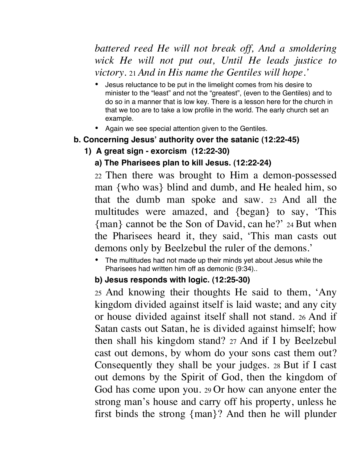## *battered reed He will not break off, And a smoldering wick He will not put out, Until He leads justice to victory*. 21 *And in His name the Gentiles will hope.'*

- Jesus reluctance to be put in the limelight comes from his desire to minister to the "least" and not the "greatest", (even to the Gentiles) and to do so in a manner that is low key. There is a lesson here for the church in that we too are to take a low profile in the world. The early church set an example.
- Again we see special attention given to the Gentiles.

## **b. Concerning Jesus' authority over the satanic (12:22-45)**

## **1) A great sign - exorcism (12:22-30)**

## **a) The Pharisees plan to kill Jesus. (12:22-24)**

22 Then there was brought to Him a demon-possessed man {who was} blind and dumb, and He healed him, so that the dumb man spoke and saw. 23 And all the multitudes were amazed, and {began} to say, 'This {man} cannot be the Son of David, can he?' 24 But when the Pharisees heard it, they said, 'This man casts out demons only by Beelzebul the ruler of the demons.'

• The multitudes had not made up their minds yet about Jesus while the Pharisees had written him off as demonic (9:34)..

## **b) Jesus responds with logic. (12:25-30)**

25 And knowing their thoughts He said to them, 'Any kingdom divided against itself is laid waste; and any city or house divided against itself shall not stand. 26 And if Satan casts out Satan, he is divided against himself; how then shall his kingdom stand? 27 And if I by Beelzebul cast out demons, by whom do your sons cast them out? Consequently they shall be your judges. 28 But if I cast out demons by the Spirit of God, then the kingdom of God has come upon you. 29 Or how can anyone enter the strong man's house and carry off his property, unless he first binds the strong {man}? And then he will plunder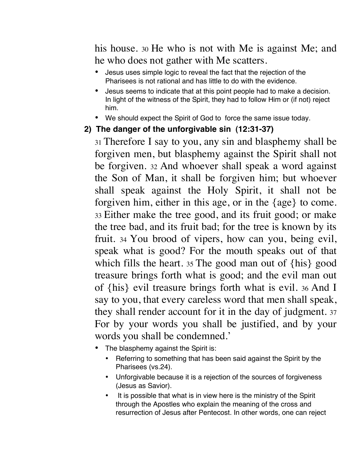his house. 30 He who is not with Me is against Me; and he who does not gather with Me scatters.

- Jesus uses simple logic to reveal the fact that the rejection of the Pharisees is not rational and has little to do with the evidence.
- Jesus seems to indicate that at this point people had to make a decision. In light of the witness of the Spirit, they had to follow Him or (if not) reject him.
- We should expect the Spirit of God to force the same issue today.

## **2) The danger of the unforgivable sin (12:31-37)**

31 Therefore I say to you, any sin and blasphemy shall be forgiven men, but blasphemy against the Spirit shall not be forgiven. 32 And whoever shall speak a word against the Son of Man, it shall be forgiven him; but whoever shall speak against the Holy Spirit, it shall not be forgiven him, either in this age, or in the {age} to come. 33 Either make the tree good, and its fruit good; or make the tree bad, and its fruit bad; for the tree is known by its fruit. 34 You brood of vipers, how can you, being evil, speak what is good? For the mouth speaks out of that which fills the heart. 35 The good man out of {his} good treasure brings forth what is good; and the evil man out of {his} evil treasure brings forth what is evil. 36 And I say to you, that every careless word that men shall speak, they shall render account for it in the day of judgment. 37 For by your words you shall be justified, and by your words you shall be condemned.'

- The blasphemy against the Spirit is:
	- Referring to something that has been said against the Spirit by the Pharisees (vs.24).
	- Unforgivable because it is a rejection of the sources of forgiveness (Jesus as Savior).
	- It is possible that what is in view here is the ministry of the Spirit through the Apostles who explain the meaning of the cross and resurrection of Jesus after Pentecost. In other words, one can reject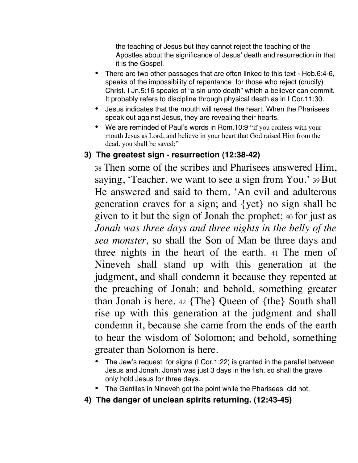the teaching of Jesus but they cannot reject the teaching of the Apostles about the significance of Jesus' death and resurrection in that it is the Gospel.

- There are two other passages that are often linked to this text Heb.6:4-6, speaks of the impossibility of repentance for those who reject (crucify) Christ. I Jn.5:16 speaks of "a sin unto death" which a believer can commit. It probably refers to discipline through physical death as in I Cor.11:30.
- Jesus indicates that the mouth will reveal the heart. When the Pharisees speak out against Jesus, they are revealing their hearts.
- We are reminded of Paul's words in Rom.10:9 "if you confess with your mouth Jesus as Lord, and believe in your heart that God raised Him from the dead, you shall be saved;"

## **3) The greatest sign - resurrection (12:38-42)**

38 Then some of the scribes and Pharisees answered Him, saying, 'Teacher, we want to see a sign from You.' 39 But He answered and said to them, 'An evil and adulterous generation craves for a sign; and {yet} no sign shall be given to it but the sign of Jonah the prophet; 40 for just as *Jonah was three days and three nights in the belly of the sea monster,* so shall the Son of Man be three days and three nights in the heart of the earth. 41 The men of Nineveh shall stand up with this generation at the judgment, and shall condemn it because they repented at the preaching of Jonah; and behold, something greater than Jonah is here. 42 {The} Queen of {the} South shall rise up with this generation at the judgment and shall condemn it, because she came from the ends of the earth to hear the wisdom of Solomon; and behold, something greater than Solomon is here.

- The Jew's request for signs (I Cor.1:22) is granted in the parallel between Jesus and Jonah. Jonah was just 3 days in the fish, so shall the grave only hold Jesus for three days.
- The Gentiles in Nineveh got the point while the Pharisees did not.
- **4) The danger of unclean spirits returning. (12:43-45)**